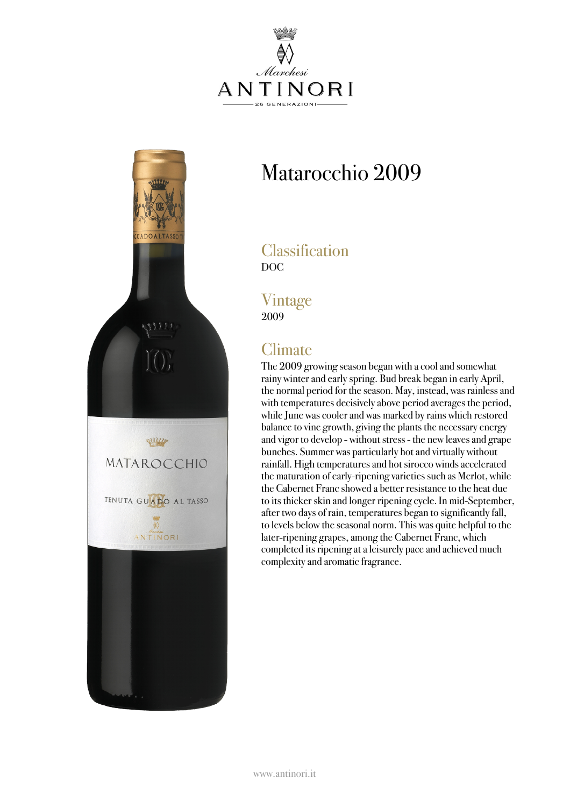



# Matarocchio 2009

#### **Classification** DOC

Vintage 2009

## **Climate**

The 2009 growing season began with a cooland somewhat rainy winter and early spring. Bud break began in early April, the normal period for the season. May, instead, was rainless and with temperatures decisivelyabove period averages the period, while June was cooler and was marked by rains which restored balance to vine growth, giving the plants the necessary energy and vigor to develop - without stress - the new leavesand grape bunches. Summer was particularly hot and virtually without rainfall. High temperatures and hot sirocco winds accelerated the maturation of early-ripening varieties such as Merlot, while the Cabernet Franc showed a better resistance to the heat due to its thicker skin and longer ripening cycle. In mid-September, after two days of rain, temperatures began to significantly fall, to levels below the seasonal norm. This was quite helpful to the later-ripening grapes, among the Cabernet Franc, which completed its ripening ataleisurely pace and achieved much complexityand aromatic fragrance.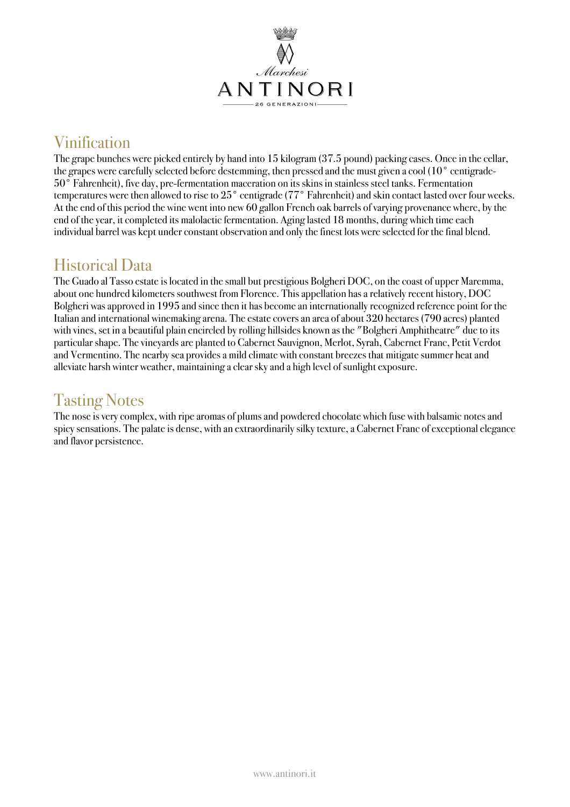

## Vinification

The grape bunches were picked entirely by hand into 15 kilogram (37.5 pound) packing cases. Once in the cellar, the grapes were carefully selected before destemming, then pressed and the must given a cool (10° centigrade-50° Fahrenheit), five day, pre-fermentation maceration on its skins in stainless steel tanks. Fermentation temperatures were then allowed to rise to 25° centigrade (77° Fahrenheit) and skin contact lasted over four weeks. At the end of this period the wine went into new 60 gallon French oak barrels of varying provenance where, by the end of the year, it completed its malolactic fermentation. Aging lasted 18 months, during which time each individual barrel was kept under constant observation and onlythe finest lots were selected for the final blend.

### Historical Data

The Guado al Tasso estate is located in the small but prestigious Bolgheri DOC, on the coast of upper Maremma, about one hundred kilometers southwest from Florence. This appellation has a relatively recent history, DOC Bolgheri wasapproved in 1995 and since then it has become an internationallyrecognized reference point for the Italian and international winemaking arena. The estate coversan area ofabout 320 hectares (790 acres) planted with vines, set in a beautiful plain encircled by rolling hillsides known as the "Bolgheri Amphitheatre" due to its particular shape. The vineyardsare planted to Cabernet Sauvignon, Merlot, Syrah, Cabernet Franc, Petit Verdot and Vermentino. The nearby sea provides a mild climate with constant breezes that mitigate summer heat and alleviate harsh winter weather, maintaining a clear skyand a high level of sunlight exposure.

### Tasting Notes

The nose is very complex, with ripe aromas of plums and powdered chocolate which fuse with balsamic notes and spicy sensations. The palate is dense, with an extraordinarily silky texture, a Cabernet Franc of exceptional elegance and flavor persistence.